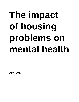# **The impact of housing problems on mental health**

**April 2017**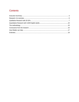# **Contents**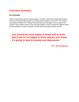# <span id="page-2-0"></span>**Executive Summary**

## **An overview**

Shelter in partnership with the research agency, ComRes, explored the relationship between housing and mental health through a two-stage research project in early 2017. This research was central to Shelter's 2017 Spring Advice and Services Campaign, and it is hoped it will provide a future evidence base for the necessary debate on how to reduce the negative impact housing problems can have on people's mental health and usage of health services.

*'you should be most happy at home and at work, and if you're not happy in those places, you know, it's going to lead to anxiety and depression.'*

*GP, Birmingham*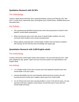## **Qualitative Research with 20 GPs**

## The methodology

Twenty in-depth phone interviews were conducted between January and February 2017 with GPs in London (four), Manchester (four), Birmingham (four), Bristol (three), Sheffield (three) and Newcastle (two).

## Key findings

- GPs spontaneously identified housing issues when discussing factors involved in their patients' mental health presentations.
- Where housing was seen as the sole cause of mental health conditions, the most commonly cited conditions were anxiety and depression.
- Where patients presented with a mental health condition that was linked to problems with housing, the GPs felt they had a knowledge and support gap.

# **Quantitative Research with 3,509 English adults**

### The methodology

ComRes interviewed 3,509 English adults online between 17th and 23rd February 2017. Data were weighted by age, gender, region and socio-economic grade to be representative of all English adults.

## Key findings

- 1 in 5 English adults (21%) said a housing issue had negatively impacted upon their mental health in the last 5 years.
- Housing affordability was the most frequently referenced issue by those who saw housing pressures having had a negative impact upon their mental health.
- 3 in 10 of those who have had a housing problem or worry in the last five years, not only said that it had had a negative mental impact, but that they had no issue with their mental health previously.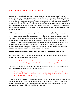# Introduction: Why this is important

Housing and mental health in England are both frequently described as in 'crisis'<sup>i</sup>, and the relationship between housing issues and mental health has been the focus of increasing debate in recent years, both publicly<sup>ii</sup> and amongst expert audiences<sup>iiiiv</sup>. Through Shelter's work helping millions of people every year struggling with bad housing or homelessness through our advice, support and legal services, we are well aware of the impacts that housing problems can have on the mental health of families. This all comes against the backdrop of a National Health Service facing increasing demand for its services, and the need to maximise cost effectiveness to meet constrained budgets.

Within this context, Shelter in partnership with the research agency, ComRes, explored the relationship between housing and mental health through a two-stage research project in early 2017. This research was central to Shelter's 2017 Spring Advice Campaign, and it is hoped it will provide a future evidence base for the necessary debate on how to reduce the negative impact housing problems can have on people's mental health and usage of health services. This report will briefly reference Shelter's history of campaigning on issues around the impact of housing issues on the wellbeing and mental health of families. It will then summarise the findings of both pieces of research, seeking to illuminate key themes and insights. It will also establish common themes arising from both pieces of research.

#### **Previous Shelter research on the links between Housing and Mental Health**

Previously, Shelter has revealed the emotional strain felt by families trying to keep on top of housing costs as they become unaffordable<sup>v</sup>:

"A new YouGov survey from Shelter has revealed the emotional strain faced by millions of families as they struggle to meet their housing costs." (January, 2013)

We have also shown how poor conditions such as damp and disrepair can negatively impact the mental health of people living with these conditions<sup>vi</sup>:

#### "those working-age adults living in bad housing are disproportionately at greater risk of poorer general health, low mental wellbeing and respiratory problems including asthma and breathlessness." (August, 2013)

This is an issue we are keen to increase awareness of. Both so that new policy can consider the overlap between housing and mental health, and also, so that people who are struggling with housing issues are aware that Shelter's advice services are here to support them. You can access the full directory of Shelter's advice services [here.](http://england.shelter.org.uk/get_advice/advice_services_directory)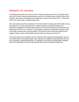# <span id="page-5-0"></span>Research: An overview

The findings discussed in this report are from 20 depth interviews with GPs in six English cities and from an online nationally representative survey of 4,103 British adults (3,509 of whom live in England). Both pieces of research were conducted in January and February 2017. All the data cited in this report relates to English adults only.

GPs were asked about their experiences of the links between housing and mental health among their patients. It is worth noting that this is a different group to the general public or the population struggling with mental health problems as not everyone facing a mental health issue will present to their GP. For instance, our quantitative research found that three quarters (74%) of the public who had had a housing problem in the last five years, which they believed had a negative impact on their mental and/or physical health, did not go to see their GP.

This means that GPs are unlikely to have a full picture of the impact housing problems have on the mental health of the general public. Also, whereas the conditions being reported by the GPs are, by definition, medically diagnosed, it is important to note that the mental health conditions cited in the quantitative survey are self-reported and may not be medically diagnosed.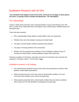# <span id="page-6-0"></span>Qualitative Research with 20 GPs

*"you should be most happy at home and at work, and if you're not happy in those places, you know, it's going to lead to anxiety and depression." GP, Birmingham*

# The methodology

Twenty in-depth phone interviews were conducted between January and February 2017 with GPs in London (four), Manchester (four), Birmingham (four), Bristol (three), Sheffield (three) and Newcastle (two).

These interviews explored:

- GPs' understanding of their patients' mental health in their own experience;
- Whether there were links between housing and mental health;
- The types of mental health conditions experienced by patients;
- The types of housing problems GPs encountered;
- Whether GPs felt supported and confident in their knowledge to address issues of housing and mental health, including additional support they would want.

Following completion of interviews, transcripts and notes from interviews were reviewed and analysed in a thematic manner. The full report is [here.](http://www.comresglobal.com/polls/shelter-housing-mental-health-survey)

## Qualitative research: Key findings

- GPs spontaneously identified housing issues when discussing factors involved in their patients' mental health presentations.
- Where housing was seen as the sole cause of mental health conditions, the most commonly cited conditions were anxiety and depression.
- Where patients presented with a mental health condition that was linked to problems with housing, the GPs self-identified a knowledge and support gap.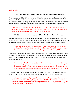#### Full results

#### **1. Is there a link between housing issues and mental health problems?**

The research found that GPs spontaneously identified housing issues when discussing factors involved in their patients' mental health presentations – both as a sole cause and as an exacerbating factor of existing mental health conditions. Where housing was seen as the sole cause, the most commonly cited mental health conditions were anxiety and depression.

*"It's common, it's probably, ball park figure of 10 or 20% of the consultations around depression or anxiety probably have an element of housing in them, I'm just plucking that out of the air but that's my feel of it probably." GP, Manchester*

#### **2. What types of housing issues did GPs link with mental health problems?**

Conditions of properties were one of the main housing problems referenced by GPs in the context of their patients' presentations of mental health problems. Affordability of rented housing and insecurity of tenancies were other key issues cited by GPs in the six fieldwork areas.

*"There seem to be people who seem to leave social housing and go into the private sector and seem to struggle, then they're not able to pay the rent for whatever reasons. So, it has a real effect on their mental wellbeing, growth and security." GP, Manchester*

The impact upon mental health of specific housing issues (like damp within properties, benefit changes, and eviction from private rented accommodation) were referenced by a number of GPs. The coincidence of financial pressures such as debt, and housing issues, were also mentioned by some GPs.

*"It tends to be things have been stable and then due to changes in housing things have got worse, but they've got worse for people who have been coping, probably on the line of coping or not coping. Then, they really do tip over the edge. I've seen patients who have committed suicide and things because of changes in their benefits." GP, London*

There were also concerns about housing issues being the cause of mental health problems in children, and that there was a differential impact upon children relative to their parents.

*"…In the parents, probably depression in that they're unable to provide a nice environment for their children. In the children, they just tend to get a little bit, sometimes withdrawn, sometimes a bit anxious and angry – running around the house and getting told off by the parents and things." GP, Sheffield*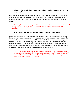#### **3. What are the physical consequences of bad housing that GPs see in their surgeries?**

Evidence of deteriorations in physical health due to housing were flagged both prompted and unprompted by GPs. Examples were also given by GPs of housing having a direct causal and aggravating factor on a patient's physical condition, in conjunction with deteriorating mental health.

*"…obviously, there are respiratory conditions, for example. You know, your house is wet and mouldy, that kind of thing, that can have an effect on conditions like asthma." GP, Newcastle*

#### **4. How capable do GPs feel dealing with housing-related issues?**

GPs signalled confidence in speaking with their patients about their mental health conditions. However, interviews revealed that when patients presented with a mental health condition that was linked to problems with housing, the GPs self-identified a knowledge and support gap. Some GPs felt unsure of where to signpost patients, and lacked time to establish what the appropriate service was, in the absence of an integrated point-of-call. In these instances, the mental health presentation would be addressed with the patient's housing problem remaining unresolved – even though GPs had identified it as a contributory factor.

*"We've got ten minute appointments. By this sort of patient, we're running over already by twenty minutes, probably. We need to have quick answers. We need to have a quick, sort of, "Who do I contact?" not all of these different services. Which one is going to be the most useful to contact?" GP, Bristol*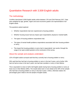# <span id="page-9-0"></span>Quantitative Research with 3,509 English adults

## <span id="page-9-1"></span>The methodology

ComRes interviewed 3,509 English adults online between 17th and 23rd February 2017. Data were weighted by age, gender, region and socio-economic grade to be representative of all English adults.

The questions asked explored:

- Whether respondents had ever experienced a housing problem;
- Whether housing issues had any impact upon respondents' physical or mental health;
- The types of housing problems respondents had;
- The types of mental health problems respondents associated with their housing problem or worry;
- The impact the housing problem or worry had in respondents' own words, through the usage of an open-ended question at the conclusion of the survey.

#### About the sample and analysis undertaken

12% of English adults surveyed said that they currently had a housing problem or worry.

30% said that they had had a housing problem or worry in the last 5 years, and a further 18% had not had an issue in the last 5 years, but had had a problem or worry in their lifetime.

This is equivalent to close to half of all English adults having had a housing problem or worry at least once in their lifetime (48%). The results below look in more detail at the 30% of the sample who had had a housing problem or worry in the last 5 years. Unless, otherwise stated, the percentages given relate to the full sample of English adults.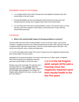## Quantitative research: Key findings

- 1 in 5 English adults (21%) said a housing issue had negatively impacted upon their mental health in the last 5 years.
- Housing affordability was the most frequently referenced issue by those who saw housing pressures having had a negative impact upon their mental health.
- 3 in 10 of those who have had a housing problem or worry in the last five years, not only said that it had had a negative mental impact, but that they had no issue with their mental health previously.

## Full Results

#### **1. What is the mental health impact of housing problems or worries?**

Of those adults who have had a housing problem or worry in the last 5 years, such as poor conditions, struggling to pay the rent or being threatened with eviction, 69% said that it had had a negative impact upon their mental health. Common mental health impacts cited later in the survey were long-term stress, anxiety and depression.

1 in 5 of the full English adult sample (21%) said a housing issue has negatively impacted upon their mental health in the last 5 years.

Aggregated to the general population, this would mean that over 8 million adults in England<sup>vii</sup> have found housing issues negatively impacting upon their mental health in the last five years.

Perhaps even more worryingly, 9% said they had a housing problem or worry *currently* negatively impacting upon their mental health. Again, scaled to the full English adult population, the numbers of English adults affected in this way, *currently*, would be in the millions. Vili

**1 in 5 of the full English adult sample (21%) said a housing issue has negatively impacted upon their mental health in the last five years**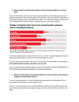#### **2. What specific mental health impacts have housing problems or worries had?**

Close to half of those adults who have had housing problems in the last five years and say it negatively impacted on their mental health, have cited that it either contributed to depression, or exacerbated existing problems with depression (48%). Over half (60%) of this group say that it has contributed to the onset of anxiety, or greater levels of anxiety (see graphic).

# Adults in England who have had mental health problems due to housing pressures

| Anxiety                  |     |     | 60% |
|--------------------------|-----|-----|-----|
| <b>Depression</b>        |     | 48% |     |
| <b>Stress</b>            |     |     | 64% |
| <b>Sleeping problems</b> |     | 55% |     |
| <b>Panic attacks</b>     | 30% |     |     |

Percentage of all English adults who have had a housing problem (in the last 5 years), who said that it contributed to mental health issues

In the open-ended question at the end of the survey, a number of people explicitly referenced having suicidal thoughts as a result of their housing problem or worry.

If you are experiencing problems with your housing, please call visit Shelter's advice pages at [http://england.shelter.org.uk/get\\_advice/how\\_we\\_can\\_help](http://england.shelter.org.uk/get_advice/how_we_can_help/housing_advice_helpline)

If you are having suicidal thoughts, please contact the Samaritans, freephone **116 123** (UK) or through<http://www.samaritans.org/how-we-can-help-you/contact-us>

#### **3. What were the types of housing problems or worries which were having a negative mental health impact?**

The main housing problems or worries identified by respondents were affordability (12% of respondents) and conditions of their property (12%).

However, it was interesting to note that affordability was referenced most often by those who saw housing issues having had a negative impact upon their mental health (see table on next page).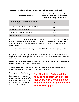#### **Table 1: Types of housing issues having a negative impact upon mental health**

| <b>Type of housing issue</b>                                        | % of English adults with a housing<br>problem in the last five years that has<br>negatively impacted their mental<br>health |
|---------------------------------------------------------------------|-----------------------------------------------------------------------------------------------------------------------------|
| Affording the rent/mortgage/falling behind with<br>rent or mortgage | 48%                                                                                                                         |
| Being evicted/ having to leave when I don't want<br>to              | 17%                                                                                                                         |
| Repair or condition of property                                     | 38%                                                                                                                         |
| Bad service from landlord or agent                                  | 17%                                                                                                                         |
| Problem finding a suitable home                                     | 23%                                                                                                                         |

Whilst this may be due to other characteristics (such as age or tenure) which correlate with both affordability issues and poor mental health, it clearly shows the widespread effects a lack of genuinely affordable housing can have, beyond those on an individual household's budget or housing situation.

#### **4. How many people with negative mental health impacts are going to the GP?**

26% of those who said that a housing problem or worry had negatively impacted their mental health in the last five years, said that they had gone to the GP with a housing issue. This counts as 5% overall, or 1 in 20 adults.

Scaled to the English adult population, this would run into the millions<sup>ix</sup>, a clear added burden on an already strained public service such as the NHS.

1 in 40 adults sampled (2.5%) said that they gone to their GP in the last five years with a housing issue related to the affordability of their rent or mortgage.

This suggests significant amounts of pressure on public services, and GPs, may be being generated by housing issues which are not being prevented, or dealt with effectively through professional housing advice or other means of support.

**1 in 40 adults (2.5%) said that they gone to their GP in the last five years with a housing issue related to the affordability of their rent or mortgage.**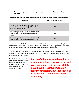#### **5. Are housing problems creating new issues, or exacerbating existing issues?**

| <b>Statement</b>                                                                                                               | % of all English adults |
|--------------------------------------------------------------------------------------------------------------------------------|-------------------------|
| Before the housing problem or worry, I had no<br>issue with my mental health, (but it negatively<br>impacted my mental health) | 9%                      |
| The housing problem or worry made a mental<br>health problem that I already had a little bit<br>worse                          | 9%                      |
| The housing problem or worry made a mental<br>health problem that I already had a lot worse                                    | 3%                      |

#### **Table 2: Distribution of new and existing mental health issues amongst affected adults**

As can be seen in the table above, close to 1 in 10 English adults not only say that they have had a housing problem or worry in the last five years, which has had a negative impact on their mental health, but that they had had no issue with their mental health before.

3 in 10 of all adults who have had a housing problem or worry in the last five years, said that not only did the issue have a negative impact on their mental health, but that they had no issue with their mental health previously.

Due to the long-term impacts periods of poor mental health can have, even once the housing problem or worry has been resolved, this finding is cause for concern.

**3 in 10 of all adults who have had a housing problem or worry in the last five years, said that not only did the issue have a negative impact on their mental health, but that they had no issue with their mental health previously.**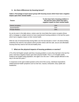#### **6. Are there differences by housing tenure?**

**Table 3: Percentage of each tenure group with housing issues which have had a negative impact upon their mental health<sup>x</sup>**

| <b>Tenure</b>          | % who have had a housing problem in<br>the last five years which has had a<br>negative impact on their mental health |
|------------------------|----------------------------------------------------------------------------------------------------------------------|
| Owner occupiers        | 15%                                                                                                                  |
| <b>Social Renters</b>  | 31 <sup>%</sup>                                                                                                      |
| <b>Private Renters</b> | 34%                                                                                                                  |

As can be seen in the table above, renters were far more likely than owner occupiers (those with a mortgage or outright owners) to have experienced housing problems in the last five years which had a negative impact on their mental health.

With the rate of homeownership having fallen over the last decade or more<sup>xi</sup>, the above finding underlines the need for new policies which provide renters with the safe, secure and affordable housing that they need to live full and healthy lives.

#### **7. What are the physical impacts of housing problems or worries?**

17% of the full English sample said that a housing problem or worry they had had in the last five years, had had a negative impact upon their physical health. This is 1 in 6 English adults. Scaled to the English adult population, this again runs into over 7 million people affected in this way in the last five years.<sup>xii</sup>

In responses to the open-ended question at the end of the survey, individual respondents related physical health symptoms such as hair loss, nausea, exhaustion, dizzy spells and headaches.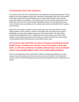# <span id="page-15-0"></span>Conclusions from the research

Our research shows that from the perspective of both patients and health professionals, housing problems are having negative impacts upon individuals' mental health. Both GPs and members of the public referenced anxiety and depression as mental health problems which housing issues had created or exacerbated. The research also lays bare how poor performance in the public policy area of access to good quality, affordable housing is not only leading to human cost, but that the costs are spilling over into another public policy area (health) which is already under pressure.

Whilst GPs saw property conditions as the housing issue most commonly linked to mental health problems in their surgeries, members of the public were more likely to cite issues of affordability as having had a negative impact upon their mental health. This latter finding, coupled with the finding that only 1 in 4 adults who have had a housing issue which had a negative mental health impact went to the GP about it, indicates that there are many people currently going through housing-induced mental health issues, alone.

**Our research has found that not only is housing exacerbating mental health issues, creating more serious issues for people to deal with alone, or with the assistance of health professionals, but according to some it has actually helped create new mental health problems.**

Given we are talking about the mental health of millions of adults being affected by housing issues in the last five years alone, the human and social cost of inaction, into the long-term, could be vast. The harmful link between housing and mental health needs to be addressed, as a priority.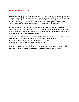# <span id="page-16-0"></span>How Shelter can help

By recognising the complexity of individual needs, we treat each person and situation as unique. **Our services are designed to advise, guide and support people with all types of housing needs – whether that takes a short conversation or intensive support over several months.** That's why our services are multi-faceted, flexible and responsive to deal with the widest possible circumstances relating to housing problems and homelessness.

We help people by phone, web chat, and through face-to-face advice at our centres and in clients' homes - from self-help to more intensive, individual support and embedded staff. This means we can offer help and advice at every level, depending on what the client needs and how much support they require to act on our guidance.

Across England and Scotland, 79% of our clients found somewhere new to live; improved their living circumstances; or were helped to stay in their home or manage better. If you are experiencing problems with your housing, please visit [http://england.shelter.org.uk/get\\_advice/how\\_we\\_can\\_help](http://england.shelter.org.uk/get_advice/how_we_can_help/housing_advice_helpline) 

If you are a professional in the Health or Housing sector and want to talk to us in more detail about our services, please contact us on 0344 515 2121. You can read more [here](http://england.shelter.org.uk/professional_resources/housing_and_mental_health).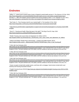# <span id="page-17-0"></span>**Endnotes**

<sup>i</sup> Boffey, D., 'Leaked report reveals scale of crisis in England's mental health services' in *The Observer* (13 Feb. 2016) [https://www.theguardian.com/society/2016/feb/13/mental-health-services-crisis-britain-revealed-leaked-report;](https://www.theguardian.com/society/2016/feb/13/mental-health-services-crisis-britain-revealed-leaked-report) Donnelly, H., 'A&E crisis deepens with 65 hospital trusts issuing emergency alerts' in *The Telegraph* (13 Jan. 2017) <http://www.telegraph.co.uk/news/2017/01/13/ae-crisis-deepens-58-hospital-trusts-issuing-emergency-alerts/>  $\overline{\phantom{a}}$ 

ii See Foster, D., 'Poor Housing is bad for your mental health' in *The Guardian* (4 Feb. 2016) <https://www.theguardian.com/housing-network/2016/feb/04/poor-housing-bad-mental-health>

iii [http://mind.org.uk/information-support/guides-to-support-and-services/housing/support-in-a-housing-crisis/#.WMf](http://mind.org.uk/information-support/guides-to-support-and-services/housing/support-in-a-housing-crisis/#.WMf-f1XyjGg)[f1XyjGg;](http://mind.org.uk/information-support/guides-to-support-and-services/housing/support-in-a-housing-crisis/#.WMf-f1XyjGg)

iv Buck, D., 'Housing and health: Ships that pass in the night'? *The King's Fund* 20. Sept. 2016 <https://www.kingsfund.org.uk/blog/2016/09/housing-and-health>

<sup>v</sup> Shelter 'Housing costs cause stress and depression for millions' (2013) [http://england.shelter.org.uk/news/january\\_2013/housing\\_costs\\_cause\\_stress\\_and\\_depression\\_for\\_millions](http://england.shelter.org.uk/news/january_2013/housing_costs_cause_stress_and_depression_for_millions)

vi Natcen and Shelter 'People living in bad housing – numbers and health impacts' (2013) [https://england.shelter.org.uk/\\_\\_data/assets/pdf\\_file/0010/726166/People\\_living\\_in\\_bad\\_housing.pdf](https://england.shelter.org.uk/__data/assets/pdf_file/0010/726166/People_living_in_bad_housing.pdf)

vii ONS, Mid-Year Estimates 2015.

[https://www.ons.gov.uk/peoplepopulationandcommunity/populationandmigration/populationestimates/datasets/popula](https://www.ons.gov.uk/peoplepopulationandcommunity/populationandmigration/populationestimates/datasets/populationestimatesforukenglandandwalesscotlandandnorthernireland) [tionestimatesforukenglandandwalesscotlandandnorthernireland](https://www.ons.gov.uk/peoplepopulationandcommunity/populationandmigration/populationestimates/datasets/populationestimatesforukenglandandwalesscotlandandnorthernireland) It was estimated there were 43,108,471 over-18s in England in 2015. The point estimate was 8.9m adults, and the confidence interval was between 8.3m and 9.5m.

viii ONS. Mid-Year Estimates 2015.

[https://www.ons.gov.uk/peoplepopulationandcommunity/populationandmigration/populationestimates/datasets/popula](https://www.ons.gov.uk/peoplepopulationandcommunity/populationandmigration/populationestimates/datasets/populationestimatesforukenglandandwalesscotlandandnorthernireland) [tionestimatesforukenglandandwalesscotlandandnorthernireland](https://www.ons.gov.uk/peoplepopulationandcommunity/populationandmigration/populationestimates/datasets/populationestimatesforukenglandandwalesscotlandandnorthernireland) It was estimated there were 43,108,471 over-18s in England in 2015. The point estimate was 3.8m adults, and the confidence interval was between 3.4m and 4.2m.

ix ONS, Mid-Year Estimates 2015.

[https://www.ons.gov.uk/peoplepopulationandcommunity/populationandmigration/populationestimates/datasets/popula](https://www.ons.gov.uk/peoplepopulationandcommunity/populationandmigration/populationestimates/datasets/populationestimatesforukenglandandwalesscotlandandnorthernireland) [tionestimatesforukenglandandwalesscotlandandnorthernireland](https://www.ons.gov.uk/peoplepopulationandcommunity/populationandmigration/populationestimates/datasets/populationestimatesforukenglandandwalesscotlandandnorthernireland) It was estimated there were 43,108,471 over-18s in England in 2015. The point estimate was 2.4m adults, and the confidence interval was between 2.0m and 2.7m.

<sup>x</sup> Owner occupiers include both outright owners, and those with a mortgage. Social renters include both Local Authority and Housing Association tenants.

xi English Housing Survey 2015/16 [https://www.gov.uk/government/statistics/english-housing-survey-2015-to-2016](https://www.gov.uk/government/statistics/english-housing-survey-2015-to-2016-headline-report) [headline-report](https://www.gov.uk/government/statistics/english-housing-survey-2015-to-2016-headline-report)

xii ONS, Mid-Year Estimates 2015.

[https://www.ons.gov.uk/peoplepopulationandcommunity/populationandmigration/populationestimates/datasets/popula](https://www.ons.gov.uk/peoplepopulationandcommunity/populationandmigration/populationestimates/datasets/populationestimatesforukenglandandwalesscotlandandnorthernireland) [tionestimatesforukenglandandwalesscotlandandnorthernireland](https://www.ons.gov.uk/peoplepopulationandcommunity/populationandmigration/populationestimates/datasets/populationestimatesforukenglandandwalesscotlandandnorthernireland) It was estimated there were 43,108,471 over-18s in England in 2 015. The point estimate was 7.7m adults, and the confidence interval was between 7.1m and 8.2m.